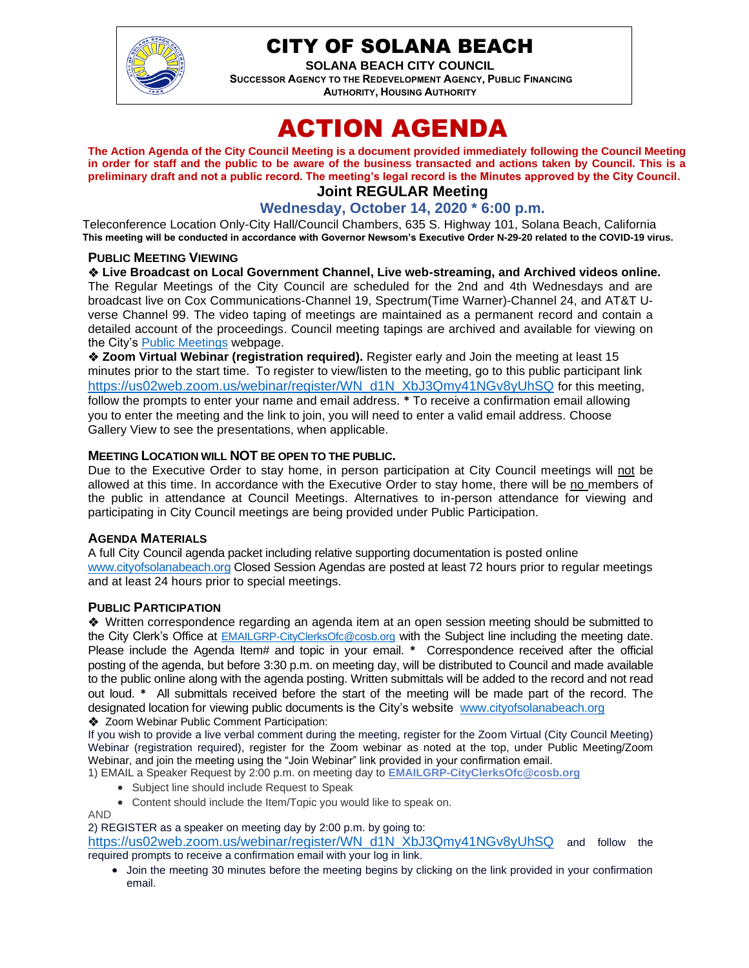

## CITY OF SOLANA BEACH

**SOLANA BEACH CITY COUNCIL SUCCESSOR AGENCY TO THE REDEVELOPMENT AGENCY, PUBLIC FINANCING AUTHORITY, HOUSING AUTHORITY** 

# ACTION AGENDA

**The Action Agenda of the City Council Meeting is a document provided immediately following the Council Meeting in order for staff and the public to be aware of the business transacted and actions taken by Council. This is a preliminary draft and not a public record. The meeting's legal record is the Minutes approved by the City Council. Joint REGULAR Meeting**

### **Wednesday, October 14, 2020 \* 6:00 p.m.**

Teleconference Location Only-City Hall/Council Chambers, 635 S. Highway 101, Solana Beach, California **This meeting will be conducted in accordance with Governor Newsom's Executive Order N-29-20 related to the COVID-19 virus.**

#### **PUBLIC MEETING VIEWING**

#### ❖ **Live Broadcast on Local Government Channel, Live web-streaming, and Archived videos online.**

The Regular Meetings of the City Council are scheduled for the 2nd and 4th Wednesdays and are broadcast live on Cox Communications-Channel 19, Spectrum(Time Warner)-Channel 24, and AT&T Uverse Channel 99. The video taping of meetings are maintained as a permanent record and contain a detailed account of the proceedings. Council meeting tapings are archived and available for viewing on the City's [Public Meetings](https://urldefense.proofpoint.com/v2/url?u=https-3A__www.ci.solana-2Dbeach.ca.us_index.asp-3FSEC-3DF0F1200D-2D21C6-2D4A88-2D8AE1-2D0BC07C1A81A7-26Type-3DB-5FBASIC&d=DwMFAg&c=euGZstcaTDllvimEN8b7jXrwqOf-v5A_CdpgnVfiiMM&r=1XAsCUuqwK_tji2t0s1uIQ&m=wny2RVfZJ2tN24LkqZmkUWNpwL_peNtTZUBlTBZiMM4&s=WwpcEQpHHkFen6nS6q2waMuQ_VMZ-i1YZ60lD-dYRRE&e=) webpage.

❖ **Zoom Virtual Webinar (registration required).** Register early and Join the meeting at least 15 minutes prior to the start time. To register to view/listen to the meeting, go to this public participant link [https://us02web.zoom.us/webinar/register/WN\\_d1N\\_XbJ3Qmy41NGv8yUhSQ](https://us02web.zoom.us/webinar/register/WN_d1N_XbJ3Qmy41NGv8yUhSQ) for this meeting, follow the prompts to enter your name and email address. **\*** To receive a confirmation email allowing you to enter the meeting and the link to join, you will need to enter a valid email address. Choose Gallery View to see the presentations, when applicable.

#### **MEETING LOCATION WILL NOT BE OPEN TO THE PUBLIC.**

Due to the Executive Order to stay home, in person participation at City Council meetings will not be allowed at this time. In accordance with the Executive Order to stay home, there will be no members of the public in attendance at Council Meetings. Alternatives to in-person attendance for viewing and participating in City Council meetings are being provided under Public Participation.

#### **AGENDA MATERIALS**

A full City Council agenda packet including relative supporting documentation is posted online [www.cityofsolanabeach.org](http://www.cityofsolanabeach.org/) Closed Session Agendas are posted at least 72 hours prior to regular meetings and at least 24 hours prior to special meetings.

#### **PUBLIC PARTICIPATION**

❖Written correspondence regarding an agenda item at an open session meeting should be submitted to the City Clerk's Office at [EMAILGRP-CityClerksOfc@cosb.org](mailto:EMAILGRP-CityClerksOfc@cosb.org) with the Subject line including the meeting date. Please include the Agenda Item# and topic in your email. **\*** Correspondence received after the official posting of the agenda, but before 3:30 p.m. on meeting day, will be distributed to Council and made available to the public online along with the agenda posting. Written submittals will be added to the record and not read out loud. **\*** All submittals received before the start of the meeting will be made part of the record. The designated location for viewing public documents is the City's website [www.cityofsolanabeach.org](http://www.cityofsolanabeach.org/) ❖ Zoom Webinar Public Comment Participation:

If you wish to provide a live verbal comment during the meeting, register for the Zoom Virtual (City Council Meeting) Webinar (registration required), register for the Zoom webinar as noted at the top, under Public Meeting/Zoom Webinar, and join the meeting using the "Join Webinar" link provided in your confirmation email.

1) EMAIL a Speaker Request by 2:00 p.m. on meeting day to **[EMAILGRP-CityClerksOfc@cosb.org](mailto:EMAILGRP-CityClerksOfc@cosb.org)**

- Subject line should include Request to Speak
- Content should include the Item/Topic you would like to speak on.

AND

2) REGISTER as a speaker on meeting day by 2:00 p.m. by going to:

[https://us02web.zoom.us/webinar/register/WN\\_d1N\\_XbJ3Qmy41NGv8yUhSQ](https://us02web.zoom.us/webinar/register/WN_d1N_XbJ3Qmy41NGv8yUhSQ) and follow the required prompts to receive a confirmation email with your log in link.

• Join the meeting 30 minutes before the meeting begins by clicking on the link provided in your confirmation email.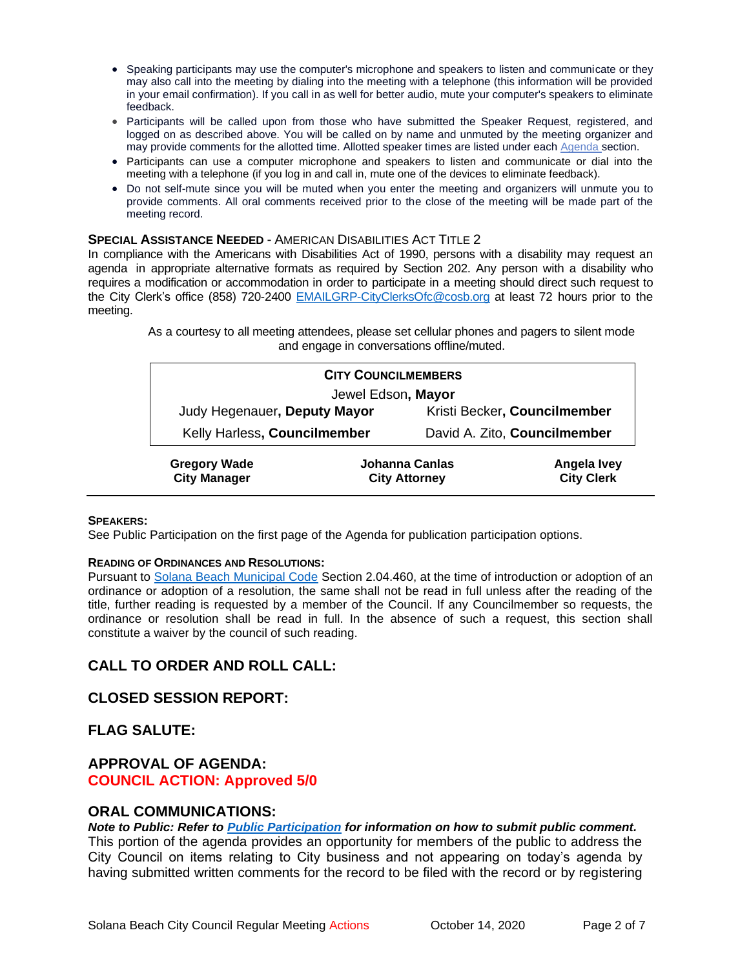- Speaking participants may use the computer's microphone and speakers to listen and communicate or they may also call into the meeting by dialing into the meeting with a telephone (this information will be provided in your email confirmation). If you call in as well for better audio, mute your computer's speakers to eliminate feedback.
- Participants will be called upon from those who have submitted the Speaker Request, registered, and logged on as described above. You will be called on by name and unmuted by the meeting organizer and may provide comments for the allotted time. Allotted speaker times are listed under each [Agenda s](https://urldefense.proofpoint.com/v2/url?u=https-3A__www.ci.solana-2Dbeach.ca.us_index.asp-3FSEC-3DF0F1200D-2D21C6-2D4A88-2D8AE1-2D0BC07C1A81A7-26Type-3DB-5FBASIC&d=DwMFaQ&c=euGZstcaTDllvimEN8b7jXrwqOf-v5A_CdpgnVfiiMM&r=1XAsCUuqwK_tji2t0s1uIQ&m=C7WzXfOw2_nkEFMJClT55zZsF4tmIf_7KTn0o1WpYqI&s=3DcsWExM2_nx_xpvFtXslUjphiXd0MDCCF18y_Qy5yU&e=)ection.
- Participants can use a computer microphone and speakers to listen and communicate or dial into the meeting with a telephone (if you log in and call in, mute one of the devices to eliminate feedback).
- Do not self-mute since you will be muted when you enter the meeting and organizers will unmute you to provide comments. All oral comments received prior to the close of the meeting will be made part of the meeting record.

#### **SPECIAL ASSISTANCE NEEDED** - AMERICAN DISABILITIES ACT TITLE 2

In compliance with the Americans with Disabilities Act of 1990, persons with a disability may request an agenda in appropriate alternative formats as required by Section 202. Any person with a disability who requires a modification or accommodation in order to participate in a meeting should direct such request to the City Clerk's office (858) 720-2400 [EMAILGRP-CityClerksOfc@cosb.org](mailto:EMAILGRP-CityClerksOfc@cosb.org) at least 72 hours prior to the meeting.

> As a courtesy to all meeting attendees, please set cellular phones and pagers to silent mode and engage in conversations offline/muted.

| <b>CITY COUNCILMEMBERS</b>                 |  |                                        |                                         |
|--------------------------------------------|--|----------------------------------------|-----------------------------------------|
| Jewel Edson, Mayor                         |  |                                        |                                         |
| Judy Hegenauer, Deputy Mayor               |  | Kristi Becker, Councilmember           |                                         |
| Kelly Harless, Councilmember               |  | David A. Zito, Councilmember           |                                         |
| <b>Gregory Wade</b><br><b>City Manager</b> |  | Johanna Canlas<br><b>City Attorney</b> | <b>Angela Ivey</b><br><b>City Clerk</b> |

#### **SPEAKERS:**

See Public Participation on the first page of the Agenda for publication participation options.

#### **READING OF ORDINANCES AND RESOLUTIONS:**

Pursuant to [Solana Beach Municipal Code](mailto:https://www.codepublishing.com/CA/SolanaBeach/) Section 2.04.460, at the time of introduction or adoption of an ordinance or adoption of a resolution, the same shall not be read in full unless after the reading of the title, further reading is requested by a member of the Council. If any Councilmember so requests, the ordinance or resolution shall be read in full. In the absence of such a request, this section shall constitute a waiver by the council of such reading.

### **CALL TO ORDER AND ROLL CALL:**

#### **CLOSED SESSION REPORT:**

**FLAG SALUTE:**

#### **APPROVAL OF AGENDA: COUNCIL ACTION: Approved 5/0**

#### **ORAL COMMUNICATIONS:**

*Note to Public: Refer to Public Participation for information on how to submit public comment.*  This portion of the agenda provides an opportunity for members of the public to address the City Council on items relating to City business and not appearing on today's agenda by having submitted written comments for the record to be filed with the record or by registering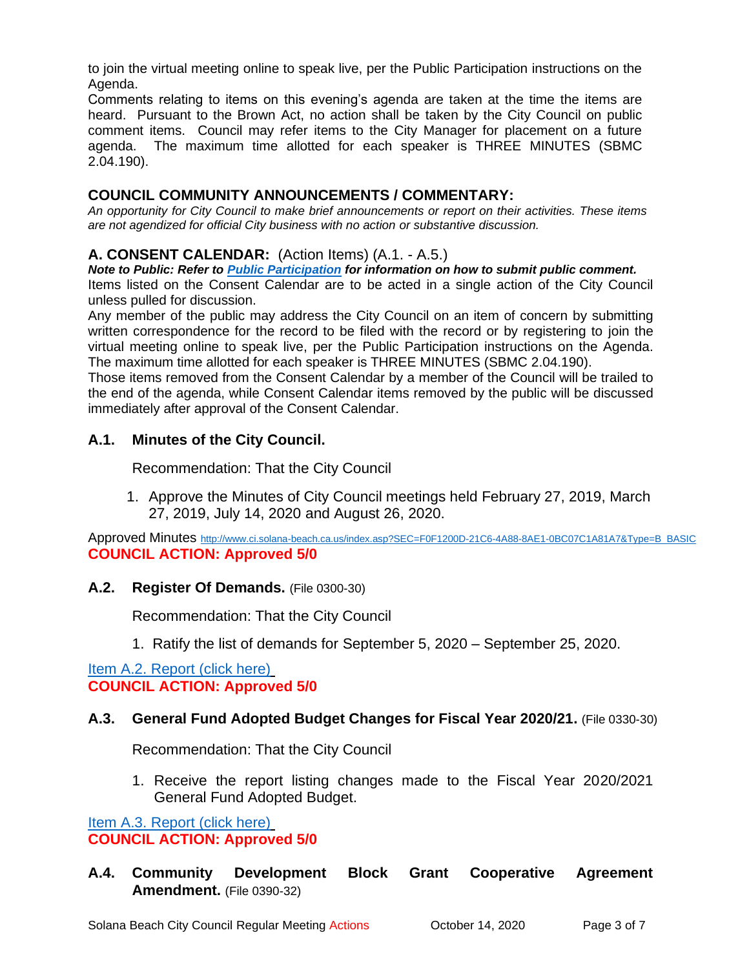to join the virtual meeting online to speak live, per the Public Participation instructions on the Agenda.

Comments relating to items on this evening's agenda are taken at the time the items are heard. Pursuant to the Brown Act, no action shall be taken by the City Council on public comment items. Council may refer items to the City Manager for placement on a future agenda. The maximum time allotted for each speaker is THREE MINUTES (SBMC 2.04.190).

### **COUNCIL COMMUNITY ANNOUNCEMENTS / COMMENTARY:**

*An opportunity for City Council to make brief announcements or report on their activities. These items are not agendized for official City business with no action or substantive discussion.* 

### **A. CONSENT CALENDAR:** (Action Items) (A.1. - A.5.)

*Note to Public: Refer to Public Participation for information on how to submit public comment.*  Items listed on the Consent Calendar are to be acted in a single action of the City Council unless pulled for discussion.

Any member of the public may address the City Council on an item of concern by submitting written correspondence for the record to be filed with the record or by registering to join the virtual meeting online to speak live, per the Public Participation instructions on the Agenda. The maximum time allotted for each speaker is THREE MINUTES (SBMC 2.04.190).

Those items removed from the Consent Calendar by a member of the Council will be trailed to the end of the agenda, while Consent Calendar items removed by the public will be discussed immediately after approval of the Consent Calendar.

### **A.1. Minutes of the City Council.**

Recommendation: That the City Council

1. Approve the Minutes of City Council meetings held February 27, 2019, March 27, 2019, July 14, 2020 and August 26, 2020.

Approved Minutes [http://www.ci.solana-beach.ca.us/index.asp?SEC=F0F1200D-21C6-4A88-8AE1-0BC07C1A81A7&Type=B\\_BASIC](http://www.ci.solana-beach.ca.us/index.asp?SEC=F0F1200D-21C6-4A88-8AE1-0BC07C1A81A7&Type=B_BASIC) **COUNCIL ACTION: Approved 5/0**

### **A.2. Register Of Demands.** (File 0300-30)

Recommendation: That the City Council

1. Ratify the list of demands for September 5, 2020 – September 25, 2020.

[Item A.2. Report \(click here\)](https://solanabeach.govoffice3.com/vertical/Sites/%7B840804C2-F869-4904-9AE3-720581350CE7%7D/uploads/Item_A.2._Report_(click_here)_10-14-20_O.pdf) **COUNCIL ACTION: Approved 5/0**

### **A.3. General Fund Adopted Budget Changes for Fiscal Year 2020/21.** (File 0330-30)

Recommendation: That the City Council

1. Receive the report listing changes made to the Fiscal Year 2020/2021 General Fund Adopted Budget.

[Item A.3. Report \(click here\)](https://solanabeach.govoffice3.com/vertical/Sites/%7B840804C2-F869-4904-9AE3-720581350CE7%7D/uploads/Item_A.3._Report_(click_here)_10-14-20_O.pdf) **COUNCIL ACTION: Approved 5/0**

**A.4. Community Development Block Grant Cooperative Agreement Amendment.** (File 0390-32)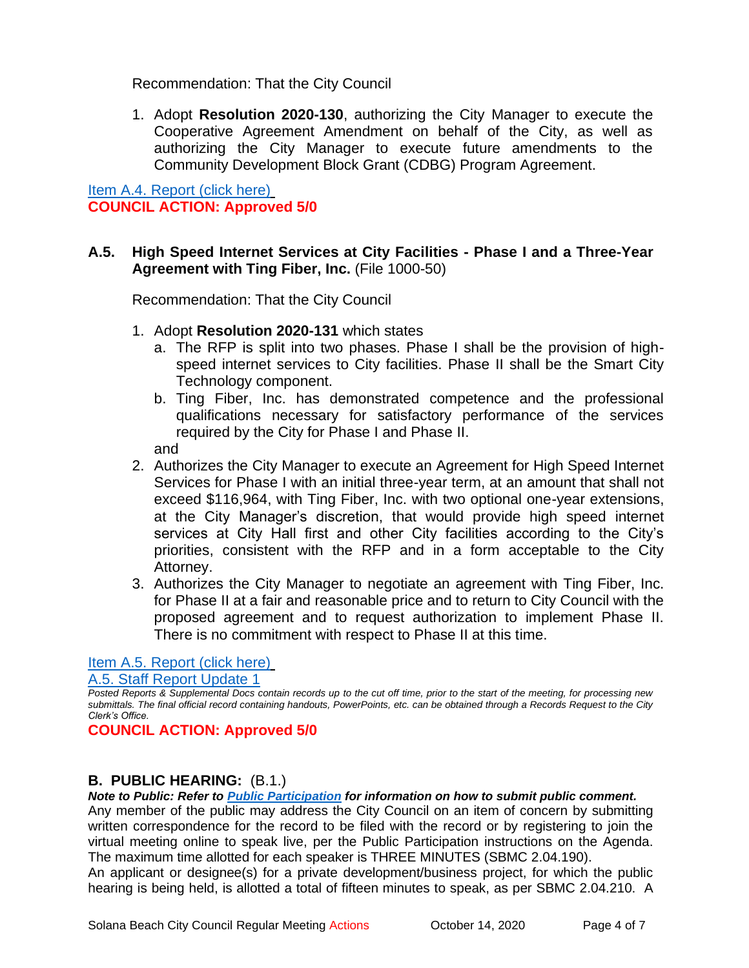Recommendation: That the City Council

1. Adopt **Resolution 2020-130**, authorizing the City Manager to execute the Cooperative Agreement Amendment on behalf of the City, as well as authorizing the City Manager to execute future amendments to the Community Development Block Grant (CDBG) Program Agreement.

[Item A.4. Report \(click here\)](https://solanabeach.govoffice3.com/vertical/Sites/%7B840804C2-F869-4904-9AE3-720581350CE7%7D/uploads/Item_A.4._Report_(click_here)_10-14-20_O.pdf) **COUNCIL ACTION: Approved 5/0**

### **A.5. High Speed Internet Services at City Facilities - Phase I and a Three-Year Agreement with Ting Fiber, Inc.** (File 1000-50)

Recommendation: That the City Council

- 1. Adopt **Resolution 2020-131** which states
	- a. The RFP is split into two phases. Phase I shall be the provision of highspeed internet services to City facilities. Phase II shall be the Smart City Technology component.
	- b. Ting Fiber, Inc. has demonstrated competence and the professional qualifications necessary for satisfactory performance of the services required by the City for Phase I and Phase II.

and

- 2. Authorizes the City Manager to execute an Agreement for High Speed Internet Services for Phase I with an initial three-year term, at an amount that shall not exceed \$116,964, with Ting Fiber, Inc. with two optional one-year extensions, at the City Manager's discretion, that would provide high speed internet services at City Hall first and other City facilities according to the City's priorities, consistent with the RFP and in a form acceptable to the City Attorney.
- 3. Authorizes the City Manager to negotiate an agreement with Ting Fiber, Inc. for Phase II at a fair and reasonable price and to return to City Council with the proposed agreement and to request authorization to implement Phase II. There is no commitment with respect to Phase II at this time.

### [Item A.5. Report \(click here\)](https://solanabeach.govoffice3.com/vertical/Sites/%7B840804C2-F869-4904-9AE3-720581350CE7%7D/uploads/Item_A.5._Report_(click_here)_10-14-20_-_O.pdf)

A.5. Staff [Report Update 1](https://solanabeach.govoffice3.com/vertical/Sites/%7B840804C2-F869-4904-9AE3-720581350CE7%7D/uploads/A.5._Staff_Report_1.pdf)

*Posted Reports & Supplemental Docs contain records up to the cut off time, prior to the start of the meeting, for processing new submittals. The final official record containing handouts, PowerPoints, etc. can be obtained through a Records Request to the City Clerk's Office.*

**COUNCIL ACTION: Approved 5/0**

### **B. PUBLIC HEARING:** (B.1.)

*Note to Public: Refer to Public Participation for information on how to submit public comment.* 

Any member of the public may address the City Council on an item of concern by submitting written correspondence for the record to be filed with the record or by registering to join the virtual meeting online to speak live, per the Public Participation instructions on the Agenda. The maximum time allotted for each speaker is THREE MINUTES (SBMC 2.04.190).

An applicant or designee(s) for a private development/business project, for which the public hearing is being held, is allotted a total of fifteen minutes to speak, as per SBMC 2.04.210. A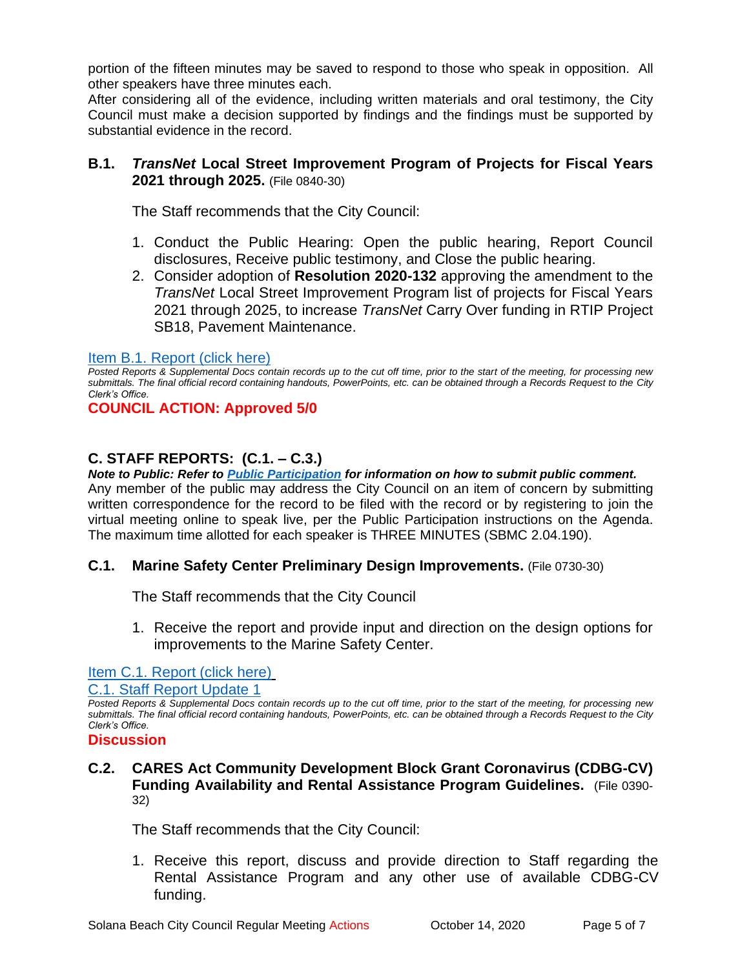portion of the fifteen minutes may be saved to respond to those who speak in opposition. All other speakers have three minutes each.

After considering all of the evidence, including written materials and oral testimony, the City Council must make a decision supported by findings and the findings must be supported by substantial evidence in the record.

### **B.1.** *TransNet* **Local Street Improvement Program of Projects for Fiscal Years 2021 through 2025.** (File 0840-30)

The Staff recommends that the City Council:

- 1. Conduct the Public Hearing: Open the public hearing, Report Council disclosures, Receive public testimony, and Close the public hearing.
- 2. Consider adoption of **Resolution 2020-132** approving the amendment to the *TransNet* Local Street Improvement Program list of projects for Fiscal Years 2021 through 2025, to increase *TransNet* Carry Over funding in RTIP Project SB18, Pavement Maintenance.

### [Item B.1. Report \(click here\)](https://solanabeach.govoffice3.com/vertical/Sites/%7B840804C2-F869-4904-9AE3-720581350CE7%7D/uploads/Item_B.1._Report_(click_here)_10-14-20_O.pdf)

*Posted Reports & Supplemental Docs contain records up to the cut off time, prior to the start of the meeting, for processing new submittals. The final official record containing handouts, PowerPoints, etc. can be obtained through a Records Request to the City Clerk's Office.*

**COUNCIL ACTION: Approved 5/0**

### **C. STAFF REPORTS: (C.1. – C.3.)**

*Note to Public: Refer to Public Participation for information on how to submit public comment.*  Any member of the public may address the City Council on an item of concern by submitting written correspondence for the record to be filed with the record or by registering to join the virtual meeting online to speak live, per the Public Participation instructions on the Agenda. The maximum time allotted for each speaker is THREE MINUTES (SBMC 2.04.190).

### **C.1. Marine Safety Center Preliminary Design Improvements.** (File 0730-30)

The Staff recommends that the City Council

1. Receive the report and provide input and direction on the design options for improvements to the Marine Safety Center.

### [Item C.1. Report \(click here\)](https://solanabeach.govoffice3.com/vertical/Sites/%7B840804C2-F869-4904-9AE3-720581350CE7%7D/uploads/Item_C.1._Report_(click_here)_10-14-20_O.pdf)

C.1. Staff [Report Update 1](https://solanabeach.govoffice3.com/vertical/Sites/%7B840804C2-F869-4904-9AE3-720581350CE7%7D/uploads/C.1._Staff_Report_Update_1.pdf)

*Posted Reports & Supplemental Docs contain records up to the cut off time, prior to the start of the meeting, for processing new submittals. The final official record containing handouts, PowerPoints, etc. can be obtained through a Records Request to the City Clerk's Office.*

#### **Discussion**

### **C.2. CARES Act Community Development Block Grant Coronavirus (CDBG-CV) Funding Availability and Rental Assistance Program Guidelines.** (File 0390- 32)

The Staff recommends that the City Council:

1. Receive this report, discuss and provide direction to Staff regarding the Rental Assistance Program and any other use of available CDBG-CV funding.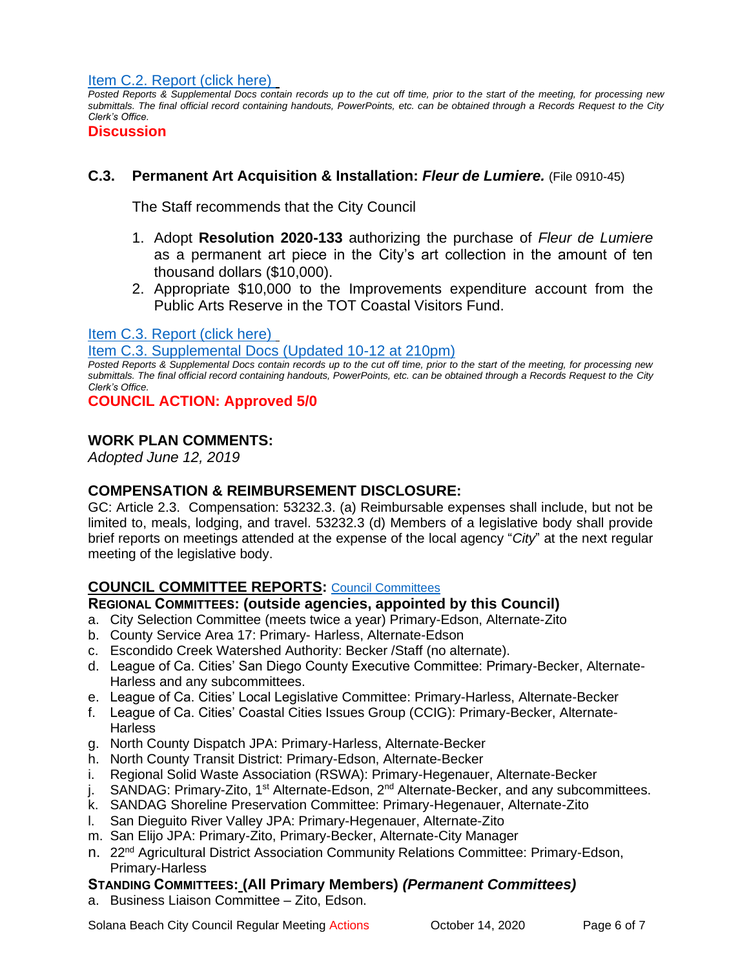[Item C.2. Report](https://solanabeach.govoffice3.com/vertical/Sites/%7B840804C2-F869-4904-9AE3-720581350CE7%7D/uploads/Item_C.2._Report_(click_here)_10-14-20_-_O.pdf) (click here)

*Posted Reports & Supplemental Docs contain records up to the cut off time, prior to the start of the meeting, for processing new submittals. The final official record containing handouts, PowerPoints, etc. can be obtained through a Records Request to the City Clerk's Office.*

**Discussion**

### **C.3. Permanent Art Acquisition & Installation:** *Fleur de Lumiere.* (File 0910-45)

The Staff recommends that the City Council

- 1. Adopt **Resolution 2020-133** authorizing the purchase of *Fleur de Lumiere* as a permanent art piece in the City's art collection in the amount of ten thousand dollars (\$10,000).
- 2. Appropriate \$10,000 to the Improvements expenditure account from the Public Arts Reserve in the TOT Coastal Visitors Fund.

#### [Item C.3. Report \(click here\)](https://solanabeach.govoffice3.com/vertical/Sites/%7B840804C2-F869-4904-9AE3-720581350CE7%7D/uploads/Item_C.3._Report_(click_here)_10-14-20_-_O.pdf)

[Item C.3. Supplemental Docs \(Updated 10-12 at 210pm\)](https://solanabeach.govoffice3.com/vertical/Sites/%7B840804C2-F869-4904-9AE3-720581350CE7%7D/uploads/Item_C.3._Supplemental_Docs_(Updated_10-12_at_210pm)_-_O.pdf)

*Posted Reports & Supplemental Docs contain records up to the cut off time, prior to the start of the meeting, for processing new submittals. The final official record containing handouts, PowerPoints, etc. can be obtained through a Records Request to the City Clerk's Office.*

**COUNCIL ACTION: Approved 5/0**

### **WORK PLAN COMMENTS:**

*Adopted June 12, 2019*

### **COMPENSATION & REIMBURSEMENT DISCLOSURE:**

GC: Article 2.3. Compensation: 53232.3. (a) Reimbursable expenses shall include, but not be limited to, meals, lodging, and travel. 53232.3 (d) Members of a legislative body shall provide brief reports on meetings attended at the expense of the local agency "*City*" at the next regular meeting of the legislative body.

### **COUNCIL COMMITTEE REPORTS:** [Council Committees](https://www.ci.solana-beach.ca.us/index.asp?SEC=584E1192-3850-46EA-B977-088AC3E81E0D&Type=B_BASIC)

### **REGIONAL COMMITTEES: (outside agencies, appointed by this Council)**

- a. City Selection Committee (meets twice a year) Primary-Edson, Alternate-Zito
- b. County Service Area 17: Primary- Harless, Alternate-Edson
- c. Escondido Creek Watershed Authority: Becker /Staff (no alternate).
- d. League of Ca. Cities' San Diego County Executive Committee: Primary-Becker, Alternate-Harless and any subcommittees.
- e. League of Ca. Cities' Local Legislative Committee: Primary-Harless, Alternate-Becker
- f. League of Ca. Cities' Coastal Cities Issues Group (CCIG): Primary-Becker, Alternate-**Harless**
- g. North County Dispatch JPA: Primary-Harless, Alternate-Becker
- h. North County Transit District: Primary-Edson, Alternate-Becker
- i. Regional Solid Waste Association (RSWA): Primary-Hegenauer, Alternate-Becker
- j. SANDAG: Primary-Zito, 1<sup>st</sup> Alternate-Edson, 2<sup>nd</sup> Alternate-Becker, and any subcommittees.
- k. SANDAG Shoreline Preservation Committee: Primary-Hegenauer, Alternate-Zito
- l. San Dieguito River Valley JPA: Primary-Hegenauer, Alternate-Zito
- m. San Elijo JPA: Primary-Zito, Primary-Becker, Alternate-City Manager
- n. 22<sup>nd</sup> Agricultural District Association Community Relations Committee: Primary-Edson, Primary-Harless

### **STANDING COMMITTEES: (All Primary Members)** *(Permanent Committees)*

a. Business Liaison Committee – Zito, Edson.